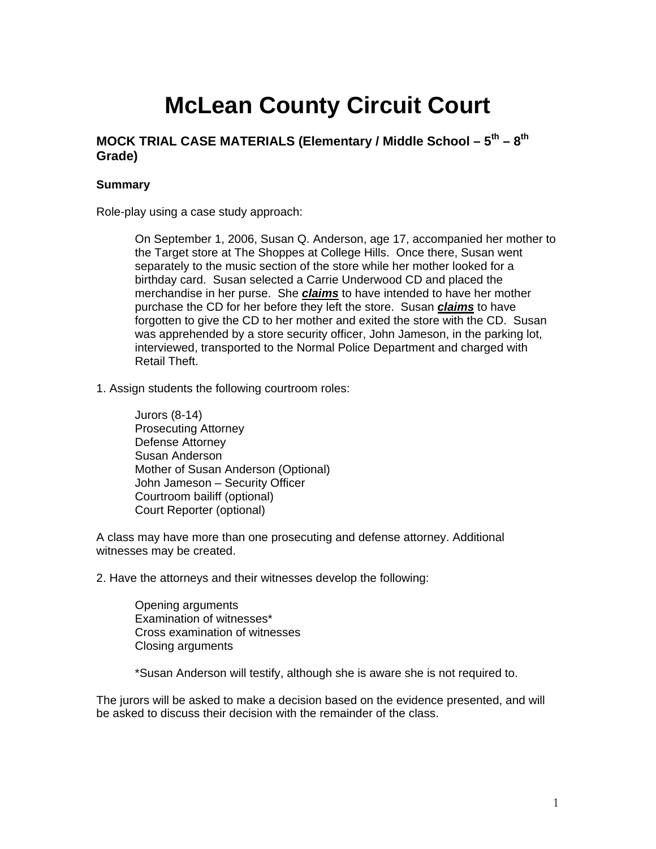# **McLean County Circuit Court**

### **MOCK TRIAL CASE MATERIALS (Elementary / Middle School – 5th – 8th Grade)**

#### **Summary**

Role-play using a case study approach:

On September 1, 2006, Susan Q. Anderson, age 17, accompanied her mother to the Target store at The Shoppes at College Hills. Once there, Susan went separately to the music section of the store while her mother looked for a birthday card. Susan selected a Carrie Underwood CD and placed the merchandise in her purse. She *claims* to have intended to have her mother purchase the CD for her before they left the store. Susan *claims* to have forgotten to give the CD to her mother and exited the store with the CD. Susan was apprehended by a store security officer, John Jameson, in the parking lot, interviewed, transported to the Normal Police Department and charged with Retail Theft.

1. Assign students the following courtroom roles:

Jurors (8-14) Prosecuting Attorney Defense Attorney Susan Anderson Mother of Susan Anderson (Optional) John Jameson – Security Officer Courtroom bailiff (optional) Court Reporter (optional)

A class may have more than one prosecuting and defense attorney. Additional witnesses may be created.

2. Have the attorneys and their witnesses develop the following:

 Opening arguments Examination of witnesses\* Cross examination of witnesses Closing arguments

\*Susan Anderson will testify, although she is aware she is not required to.

The jurors will be asked to make a decision based on the evidence presented, and will be asked to discuss their decision with the remainder of the class.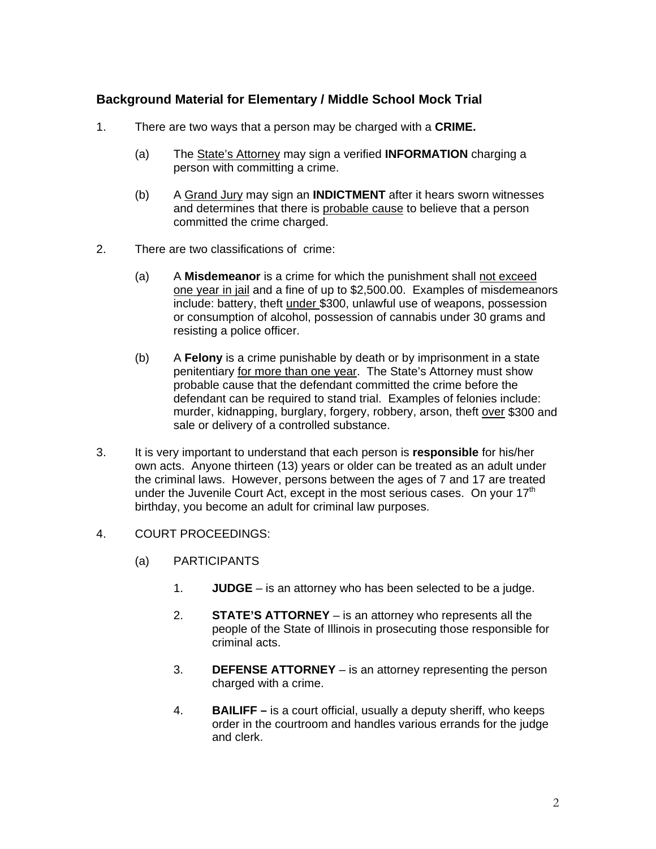## **Background Material for Elementary / Middle School Mock Trial**

- 1. There are two ways that a person may be charged with a **CRIME.**
	- (a) The State's Attorney may sign a verified **INFORMATION** charging a person with committing a crime.
	- (b) A Grand Jury may sign an **INDICTMENT** after it hears sworn witnesses and determines that there is probable cause to believe that a person committed the crime charged.
- 2. There are two classifications of crime:
	- (a) A **Misdemeanor** is a crime for which the punishment shall not exceed one year in jail and a fine of up to \$2,500.00. Examples of misdemeanors include: battery, theft under \$300, unlawful use of weapons, possession or consumption of alcohol, possession of cannabis under 30 grams and resisting a police officer.
	- (b) A **Felony** is a crime punishable by death or by imprisonment in a state penitentiary for more than one year. The State's Attorney must show probable cause that the defendant committed the crime before the defendant can be required to stand trial. Examples of felonies include: murder, kidnapping, burglary, forgery, robbery, arson, theft over \$300 and sale or delivery of a controlled substance.
- 3. It is very important to understand that each person is **responsible** for his/her own acts. Anyone thirteen (13) years or older can be treated as an adult under the criminal laws. However, persons between the ages of 7 and 17 are treated under the Juvenile Court Act, except in the most serious cases. On your  $17<sup>th</sup>$ birthday, you become an adult for criminal law purposes.
- 4. COURT PROCEEDINGS:
	- (a) PARTICIPANTS
		- 1. **JUDGE** is an attorney who has been selected to be a judge.
		- 2. **STATE'S ATTORNEY** is an attorney who represents all the people of the State of Illinois in prosecuting those responsible for criminal acts.
		- 3. **DEFENSE ATTORNEY** is an attorney representing the person charged with a crime.
		- 4. **BAILIFF** is a court official, usually a deputy sheriff, who keeps order in the courtroom and handles various errands for the judge and clerk.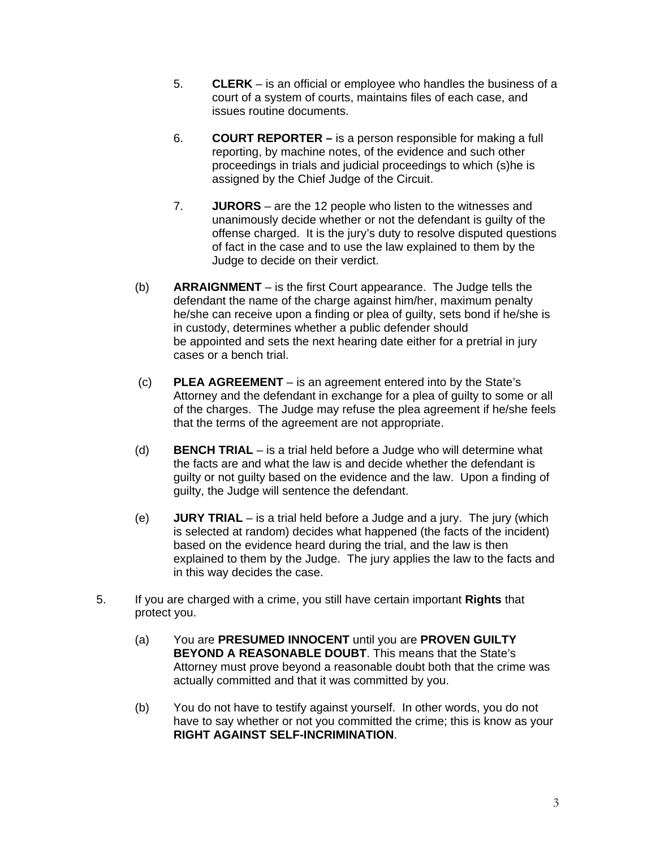- 5. **CLERK**  is an official or employee who handles the business of a court of a system of courts, maintains files of each case, and issues routine documents.
- 6. **COURT REPORTER** is a person responsible for making a full reporting, by machine notes, of the evidence and such other proceedings in trials and judicial proceedings to which (s)he is assigned by the Chief Judge of the Circuit.
- 7. **JURORS**  are the 12 people who listen to the witnesses and unanimously decide whether or not the defendant is guilty of the offense charged. It is the jury's duty to resolve disputed questions of fact in the case and to use the law explained to them by the Judge to decide on their verdict.
- (b) **ARRAIGNMENT**  is the first Court appearance. The Judge tells the defendant the name of the charge against him/her, maximum penalty he/she can receive upon a finding or plea of guilty, sets bond if he/she is in custody, determines whether a public defender should be appointed and sets the next hearing date either for a pretrial in jury cases or a bench trial.
- (c) **PLEA AGREEMENT** is an agreement entered into by the State's Attorney and the defendant in exchange for a plea of guilty to some or all of the charges. The Judge may refuse the plea agreement if he/she feels that the terms of the agreement are not appropriate.
- (d) **BENCH TRIAL** is a trial held before a Judge who will determine what the facts are and what the law is and decide whether the defendant is guilty or not guilty based on the evidence and the law. Upon a finding of guilty, the Judge will sentence the defendant.
- (e) **JURY TRIAL** is a trial held before a Judge and a jury. The jury (which is selected at random) decides what happened (the facts of the incident) based on the evidence heard during the trial, and the law is then explained to them by the Judge. The jury applies the law to the facts and in this way decides the case.
- 5. If you are charged with a crime, you still have certain important **Rights** that protect you.
	- (a) You are **PRESUMED INNOCENT** until you are **PROVEN GUILTY BEYOND A REASONABLE DOUBT**. This means that the State's Attorney must prove beyond a reasonable doubt both that the crime was actually committed and that it was committed by you.
	- (b) You do not have to testify against yourself. In other words, you do not have to say whether or not you committed the crime; this is know as your **RIGHT AGAINST SELF-INCRIMINATION**.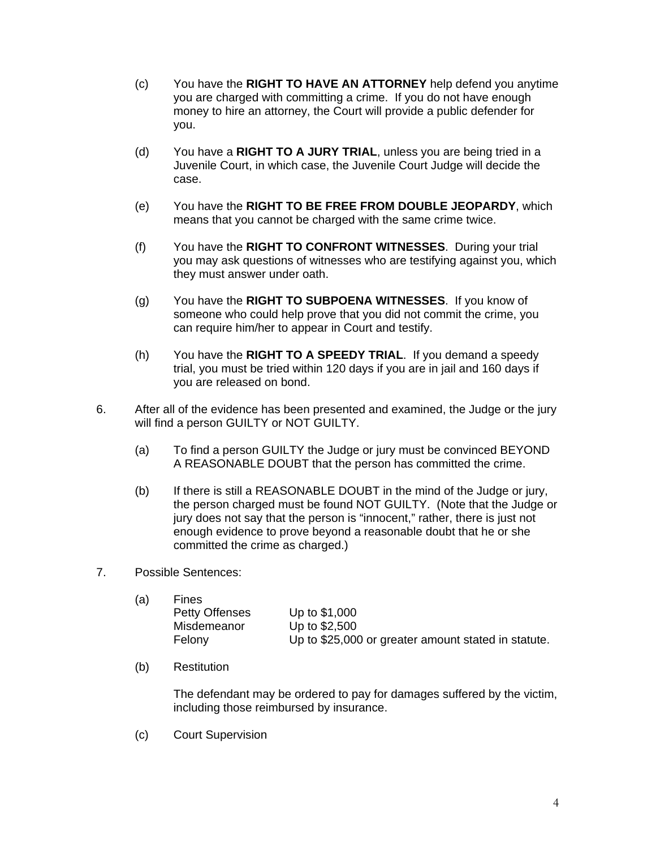- (c) You have the **RIGHT TO HAVE AN ATTORNEY** help defend you anytime you are charged with committing a crime. If you do not have enough money to hire an attorney, the Court will provide a public defender for you.
- (d) You have a **RIGHT TO A JURY TRIAL**, unless you are being tried in a Juvenile Court, in which case, the Juvenile Court Judge will decide the case.
- (e) You have the **RIGHT TO BE FREE FROM DOUBLE JEOPARDY**, which means that you cannot be charged with the same crime twice.
- (f) You have the **RIGHT TO CONFRONT WITNESSES**. During your trial you may ask questions of witnesses who are testifying against you, which they must answer under oath.
- (g) You have the **RIGHT TO SUBPOENA WITNESSES**. If you know of someone who could help prove that you did not commit the crime, you can require him/her to appear in Court and testify.
- (h) You have the **RIGHT TO A SPEEDY TRIAL**. If you demand a speedy trial, you must be tried within 120 days if you are in jail and 160 days if you are released on bond.
- 6. After all of the evidence has been presented and examined, the Judge or the jury will find a person GUILTY or NOT GUILTY.
	- (a) To find a person GUILTY the Judge or jury must be convinced BEYOND A REASONABLE DOUBT that the person has committed the crime.
	- (b) If there is still a REASONABLE DOUBT in the mind of the Judge or jury, the person charged must be found NOT GUILTY. (Note that the Judge or jury does not say that the person is "innocent," rather, there is just not enough evidence to prove beyond a reasonable doubt that he or she committed the crime as charged.)
- 7. Possible Sentences:

| <b>Fines</b>          |                                                     |
|-----------------------|-----------------------------------------------------|
| <b>Petty Offenses</b> | Up to \$1,000                                       |
| Misdemeanor           | Up to \$2,500                                       |
| Felony                | Up to \$25,000 or greater amount stated in statute. |
|                       |                                                     |

(b) Restitution

The defendant may be ordered to pay for damages suffered by the victim, including those reimbursed by insurance.

(c) Court Supervision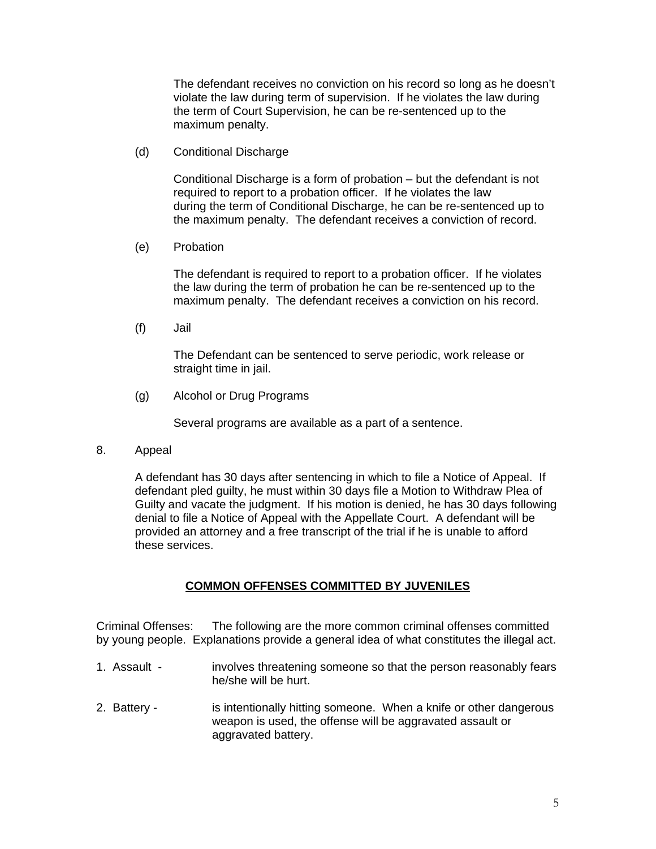The defendant receives no conviction on his record so long as he doesn't violate the law during term of supervision. If he violates the law during the term of Court Supervision, he can be re-sentenced up to the maximum penalty.

(d) Conditional Discharge

Conditional Discharge is a form of probation – but the defendant is not required to report to a probation officer. If he violates the law during the term of Conditional Discharge, he can be re-sentenced up to the maximum penalty. The defendant receives a conviction of record.

(e) Probation

The defendant is required to report to a probation officer. If he violates the law during the term of probation he can be re-sentenced up to the maximum penalty. The defendant receives a conviction on his record.

(f) Jail

The Defendant can be sentenced to serve periodic, work release or straight time in jail.

(g) Alcohol or Drug Programs

Several programs are available as a part of a sentence.

8. Appeal

A defendant has 30 days after sentencing in which to file a Notice of Appeal. If defendant pled guilty, he must within 30 days file a Motion to Withdraw Plea of Guilty and vacate the judgment. If his motion is denied, he has 30 days following denial to file a Notice of Appeal with the Appellate Court. A defendant will be provided an attorney and a free transcript of the trial if he is unable to afford these services.

#### **COMMON OFFENSES COMMITTED BY JUVENILES**

Criminal Offenses: The following are the more common criminal offenses committed by young people. Explanations provide a general idea of what constitutes the illegal act.

- 1. Assault involves threatening someone so that the person reasonably fears he/she will be hurt.
- 2. Battery is intentionally hitting someone. When a knife or other dangerous weapon is used, the offense will be aggravated assault or aggravated battery.